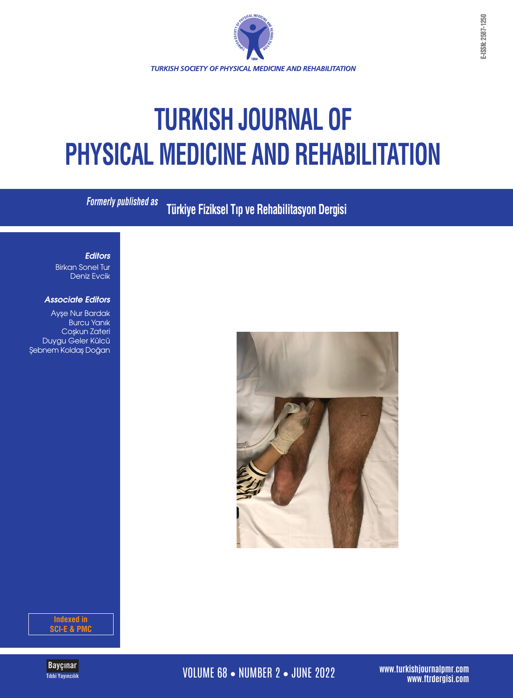

# **TURKISH JOURNAL OF PHYSICAL MEDICINE AND REHABILITATION**

**Formerly published as**

**Türkiye Fiziksel Tıp ve Rehabilitasyon Dergisi**

### *Editors*

Birkan Sonel Tur Deniz Evcik

### *Associate Editors*

Ayşe Nur Bardak Burcu Yanık Coşkun Zateri Duygu Geler Külcü Şebnem Koldaş Doğan



**Indexed in SCI-E & PMC**



**WOLUME 68 • NUMBER 2 • JUNE 2022** 

**www.turkishjournalpmr.com**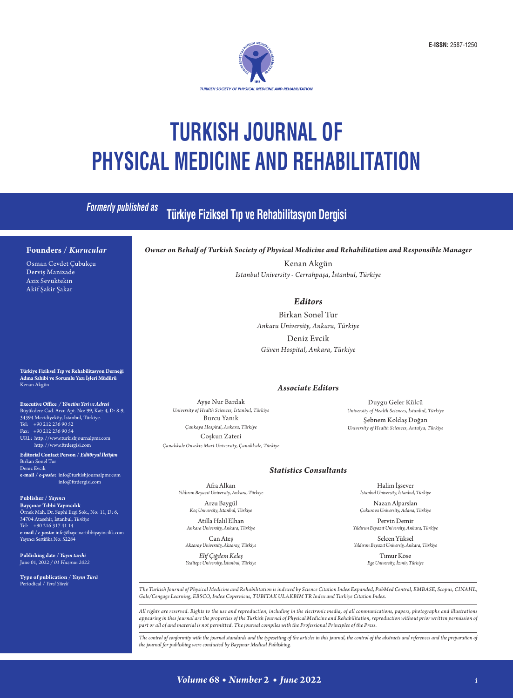

## **TURKISH JOURNAL OF PHYSICAL MEDICINE AND REHABILITATION**

| <b>Formerly published as</b>                                                                                                                                                                                                                                     | Türkiye Fiziksel Tıp ve Rehabilitasyon Dergisi                                                                                                                                                    |                                                                                                                                                 |
|------------------------------------------------------------------------------------------------------------------------------------------------------------------------------------------------------------------------------------------------------------------|---------------------------------------------------------------------------------------------------------------------------------------------------------------------------------------------------|-------------------------------------------------------------------------------------------------------------------------------------------------|
| Founders / Kurucular<br>Osman Cevdet Çubukçu                                                                                                                                                                                                                     | Owner on Behalf of Turkish Society of Physical Medicine and Rehabilitation and Responsible Manager<br>Kenan Akgün                                                                                 |                                                                                                                                                 |
| Derviş Manizade<br>Aziz Sevüktekin<br>Akif Şakir Şakar                                                                                                                                                                                                           | Istanbul University - Cerrahpaşa, İstanbul, Türkiye                                                                                                                                               |                                                                                                                                                 |
|                                                                                                                                                                                                                                                                  | <b>Editors</b>                                                                                                                                                                                    |                                                                                                                                                 |
|                                                                                                                                                                                                                                                                  | Birkan Sonel Tur                                                                                                                                                                                  |                                                                                                                                                 |
|                                                                                                                                                                                                                                                                  | Ankara University, Ankara, Türkiye                                                                                                                                                                |                                                                                                                                                 |
|                                                                                                                                                                                                                                                                  | Deniz Evcik                                                                                                                                                                                       |                                                                                                                                                 |
|                                                                                                                                                                                                                                                                  | Güven Hospital, Ankara, Türkiye                                                                                                                                                                   |                                                                                                                                                 |
| Türkiye Fiziksel Tıp ve Rehabilitasyon Derneği<br>Adına Sahibi ve Sorumlu Yazı İşleri Müdürü<br>Kenan Akgün                                                                                                                                                      | <b>Associate Editors</b>                                                                                                                                                                          |                                                                                                                                                 |
| Executive Office / Yönetim Yeri ve Adresi<br>Büyükdere Cad. Arzu Apt. No: 99, Kat: 4, D: 8-9,<br>34394 Mecidiyeköy, İstanbul, Türkiye.<br>Tel: +90 212 236 90 52<br>Fax: +90 212 236 90 54<br>URL: http://www.turkishjournalpmr.com<br>http://www.ftrdergisi.com | Ayşe Nur Bardak<br>University of Health Sciences, İstanbul, Türkiye<br>Burcu Yanık<br>Çankaya Hospital, Ankara, Türkiye<br>Coşkun Zateri<br>Çanakkale Onsekiz Mart University, Çanakkale, Türkiye | Duygu Geler Külcü<br>University of Health Sciences, İstanbul, Türkiye<br>Şebnem Koldaş Doğan<br>University of Health Sciences, Antalya, Türkiye |
| Editorial Contact Person / Editöryal İletişim<br>Birkan Sonel Tur<br>Deniz Evcik<br>e-mail / e-posta: info@turkishjournalpmr.com<br>info@ftrdergisi.com                                                                                                          | <b>Statistics Consultants</b><br>Afra Alkan<br>Halim Issever<br>İstanbul University, İstanbul, Türkiye<br>Yıldırım Beyazıt University, Ankara, Türkiye                                            |                                                                                                                                                 |
| Publisher / Yayıncı<br>Bayçınar Tıbbi Yayıncılık<br>Örnek Mah. Dr. Suphi Ezgi Sok., No: 11, D: 6,<br>34704 Ataşehir, İstanbul, Türkiye<br>Tel: +90 216 317 41 14<br>e-mail / e-posta: info@baycinartibbiyayincilik.com<br>Yayıncı Sertifika No: 52284            | Arzu Baygül<br>Koç University, Istanbul, Türkiye                                                                                                                                                  | Nazan Alparslan<br>Çukurova University, Adana, Türkiye                                                                                          |
|                                                                                                                                                                                                                                                                  | Atilla Halil Elhan<br>Ankara University, Ankara, Türkiye                                                                                                                                          | Pervin Demir<br>Yıldırım Beyazıt University, Ankara, Türkiye                                                                                    |
|                                                                                                                                                                                                                                                                  | Can Ates<br>Aksaray University, Aksaray, Türkiye                                                                                                                                                  | Selcen Yüksel<br>Yıldırım Beyazıt Universiy, Ankara, Türkiye                                                                                    |
| Publishing date / Yayın tarihi<br>June 01, 2022 / 01 Haziran 2022                                                                                                                                                                                                | Elif Çiğdem Keleş<br>Yeditepe University, İstanbul, Türkiye                                                                                                                                       | Timur Köse<br>Ege University, İzmir, Türkiye                                                                                                    |

*The Turkish Journal of Physical Medicine and Rehabilitation is indexed by Science Citation Index Expanded, PubMed Central, EMBASE, Scopus, CINAHL, Gale/Cengage Learning, EBSCO, Index Copernicus, TUBITAK ULAKBIM TR Index and Turkiye Citation Index.*

*All rights are reserved. Rights to the use and reproduction, including in the electronic media, of all communications, papers, photographs and illustrations appearing in thes journal are the properties of the Turkish Journal of Physical Medicine and Rehabilitation, reproduction without prior written permission of part or all of and material is not permitted. The journal compiles with the Professional Principles of the Press.*

*The control of conformity with the journal standards and the typesetting of the articles in this journal, the control of the abstracts and references and the preparation of the journal for publishing were conducted by Bayçınar Medical Publishing.*

**Type of publication /** *Yayın Türü* Periodical / *Yerel Süreli*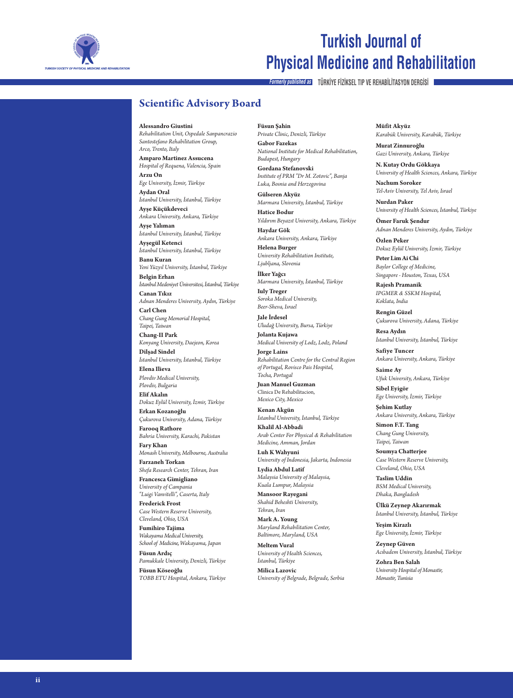

### **Turkish Journal of Physical Medicine and Rehabilitation**

**Formerly published as TÜRKİYE FİZİKSEL TIP VE REHABİLİTASYON DERGİSİ**

### **Scientific Advisory Board**

**Alessandro Giustini**

*Rehabilitation Unit, Ospedale Sanpancrazio Santostefano Rehabilitation Group, Arco, Trento, Italy*

**Amparo Martinez Assucena** *Hospital of Requena, Valencia, Spain* **Arzu On**

*Ege University, İzmir, Türkiye* **Aydan Oral**

*İstanbul University, İstanbul, Türkiye* **Ayşe Küçükdeveci**

*Ankara University, Ankara, Türkiye* **Ayşe Yalıman**

*İstanbul University, İstanbul, Türkiye* **Ayşegül Ketenci**

*İstanbul University, İstanbul, Türkiye* **Banu Kuran**

*Yeni Yüzyıl University, İstanbul, Türkiye* **Belgin Erhan**

*İstanbul Medeniyet Üniversitesi, İstanbul, Türkiye* **Canan Tıkız**

*Adnan Menderes University, Aydın, Türkiye* **Carl Chen**

*Chang Gung Memorial Hospital, Taipei, Taiwan*

**Chang-II Park** *Konyang University, Daejeon, Korea* **Dilşad Sindel**

*İstanbul University, İstanbul, Türkiye* **Elena Ilieva**

*Plovdiv Medical University, Plovdiv, Bulgaria*

**Elif Akalın** *Dokuz Eylül University, İzmir, Türkiye*

**Erkan Kozanoğlu** *Çukurova University, Adana, Türkiye* **Farooq Rathore**

*Bahria University, Karachi, Pakistan* **Fary Khan**

*Monash University, Melbourne, Australia* **Farzaneh Torkan**

*Shefa Research Center, Tehran, Iran* **Francesca Gimigliano**

*University of Campania "Luigi Vanvitelli", Caserta, Italy*

**Frederick Frost** *Case Western Reserve University, Cleveland, Ohio, USA*

**Fumihiro Tajima** *Wakayama Medical University, School of Medicine, Wakayama, Japan*

**Füsun Ardıç** *Pamukkale University, Denizli, Türkiye* **Füsun Köseoğlu**

*TOBB ETU Hospital, Ankara, Türkiye*

**Füsun Şahin**

*Private Clinic, Denizli, Türkiye* **Gabor Fazekas** *National Institute for Medical Rehabilitation, Budapest, Hungary*

**Gordana Stefanovski** *Institute of PRM "Dr M. Zotovic", Banja Luka, Bosnia and Herzegovina*

**Gülseren Akyüz** *Marmara University, İstanbul, Türkiye*

**Hatice Bodur** *Yıldırım Beyazıt University, Ankara, Türkiye*

**Haydar Gök** *Ankara University, Ankara, Türkiye* **Helena Burger**

*University Rehabilitation Institute, Ljubljana, Slovenia*

**İlker Yağcı** *Marmara University, İstanbul, Türkiye*

**Iuly Treger** *Soroka Medical University, Beer-Sheva, Israel*

**Jale İrdesel** *Uludağ University, Bursa, Türkiye*

**Jolanta Kujawa** *Medical University of Lodz, Lodz, Poland*

**Jorge Lains** *Rehabilitation Centre for the Central Region of Portugal, Rovisco Pais Hospital, Tocha, Portugal*

**Juan Manuel Guzman** Clinica De Rehabilitacion, *Mexico City, Mexico*

**Kenan Akgün** *İstanbul University, İstanbul, Türkiye*

**Khalil Al-Abbadi** *Arab Center For Physical & Rehabilitation Medicine, Amman, Jordan*

**Luh K Wahyuni** *University of Indonesia, Jakarta, Indonesia*

**Lydia Abdul Latif** *Malaysia University of Malaysia, Kuala Lumpur, Malaysia*

**Mansoor Rayegani** *Shahid Beheshti University, Tehran, Iran*

**Mark A. Young** *Maryland Rehabilitation Center, Baltimore, Maryland, USA*

**Meltem Vural** *University of Health Sciences, İstanbul, Türkiye*

**Milica Lazovic** *University of Belgrade, Belgrade, Serbia* **Müfit Akyüz** *Karabük University, Karabük, Türkiye*

**Murat Zinnuroğlu** *Gazi University, Ankara, Türkiye*

**N. Kutay Ordu Gökkaya** *University of Health Sciences, Ankara, Türkiye* **Nachum Soroker** *Tel-Aviv University, Tel Aviv, Israel*

**Nurdan Paker** *University of Health Sciences, İstanbul, Türkiye*

**Ömer Faruk Şendur** *Adnan Menderes University, Aydın, Türkiye*

**Özlen Peker** *Dokuz Eylül University, İzmir, Türkiye* **Peter Lim Ai Chi**

*Baylor College of Medicine, Singapore - Houston, Texas, USA*

**Rajesh Pramanik** *IPGMER & SSKM Hospital, Koklata, India*

**Rengin Güzel** *Çukurova University, Adana, Türkiye*

**Resa Aydın** *İstanbul University, İstanbul, Türkiye*

**Safiye Tuncer** *Ankara University, Ankara, Türkiye*

**Saime Ay** *Ufuk University, Ankara, Türkiye*

**Sibel Eyigör** *Ege University, İzmir, Türkiye*

**Şehim Kutlay** *Ankara University, Ankara, Türkiye* **Simon F.T. Tang**

*Chang Gung University, Taipei, Taiwan*

**Soumya Chatterjee** *Case Western Reserve University, Cleveland, Ohio, USA*

**Taslim Uddin** *BSM Medical University, Dhaka, Bangladesh*

**Ülkü Zeynep Akarırmak** *İstanbul University, İstanbul, Türkiye*

**Yeşim Kirazlı** *Ege University, İzmir, Türkiye*

**Zeynep Güven** *Acıbadem University, İstanbul, Türkiye* **Zohra Ben Salah** *University Hospital of Monastir, Monastir, Tunisia*